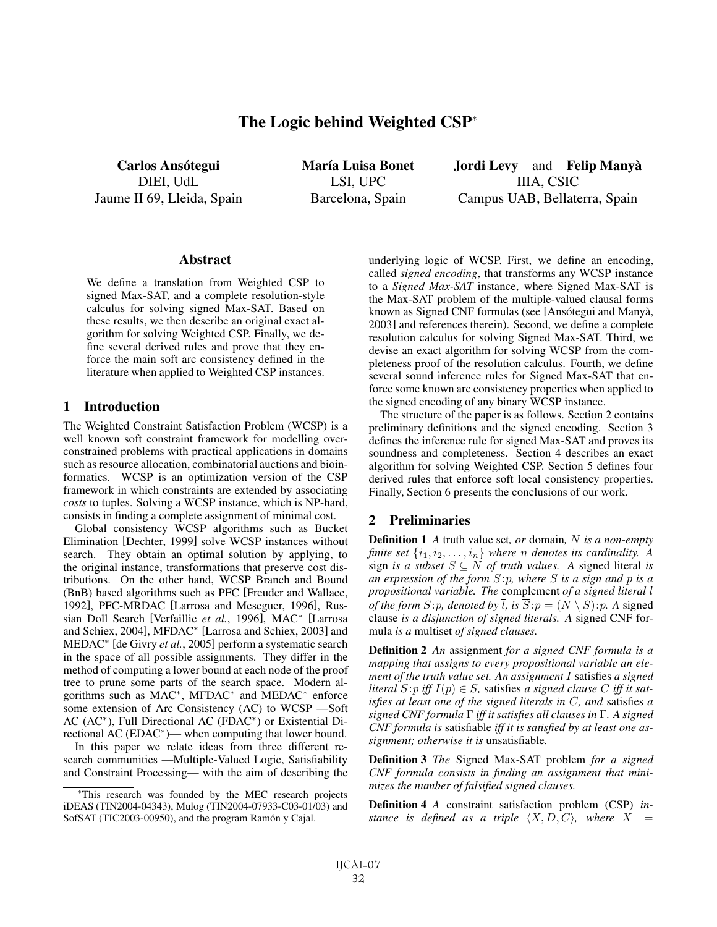# The Logic behind Weighted CSP<sup>∗</sup>

Carlos Ansótegui DIEI, UdL Jaume II 69, Lleida, Spain María Luisa Bonet LSI, UPC Barcelona, Spain

Jordi Levy and Felip Manyà IIIA, CSIC Campus UAB, Bellaterra, Spain

#### **Abstract**

We define a translation from Weighted CSP to signed Max-SAT, and a complete resolution-style calculus for solving signed Max-SAT. Based on these results, we then describe an original exact algorithm for solving Weighted CSP. Finally, we define several derived rules and prove that they enforce the main soft arc consistency defined in the literature when applied to Weighted CSP instances.

#### 1 Introduction

The Weighted Constraint Satisfaction Problem (WCSP) is a well known soft constraint framework for modelling overconstrained problems with practical applications in domains such as resource allocation, combinatorial auctions and bioinformatics. WCSP is an optimization version of the CSP framework in which constraints are extended by associating *costs* to tuples. Solving a WCSP instance, which is NP-hard, consists in finding a complete assignment of minimal cost.

Global consistency WCSP algorithms such as Bucket Elimination [Dechter, 1999] solve WCSP instances without search. They obtain an optimal solution by applying, to the original instance, transformations that preserve cost distributions. On the other hand, WCSP Branch and Bound (BnB) based algorithms such as PFC [Freuder and Wallace, 1992], PFC-MRDAC [Larrosa and Meseguer, 1996], Russian Doll Search [Verfaillie *et al.*, 1996], MAC<sup>∗</sup> [Larrosa and Schiex, 2004], MFDAC<sup>∗</sup> [Larrosa and Schiex, 2003] and MEDAC<sup>∗</sup> [de Givry *et al.*, 2005] perform a systematic search in the space of all possible assignments. They differ in the method of computing a lower bound at each node of the proof tree to prune some parts of the search space. Modern algorithms such as MAC<sup>∗</sup>, MFDAC<sup>∗</sup> and MEDAC<sup>∗</sup> enforce some extension of Arc Consistency (AC) to WCSP —Soft AC (AC<sup>∗</sup>), Full Directional AC (FDAC<sup>∗</sup>) or Existential Directional AC (EDAC<sup>∗</sup>)— when computing that lower bound.

In this paper we relate ideas from three different research communities —Multiple-Valued Logic, Satisfiability and Constraint Processing— with the aim of describing the underlying logic of WCSP. First, we define an encoding, called *signed encoding*, that transforms any WCSP instance to a *Signed Max-SAT* instance, where Signed Max-SAT is the Max-SAT problem of the multiple-valued clausal forms known as Signed CNF formulas (see [Ansótegui and Manyà, 2003] and references therein). Second, we define a complete resolution calculus for solving Signed Max-SAT. Third, we devise an exact algorithm for solving WCSP from the completeness proof of the resolution calculus. Fourth, we define several sound inference rules for Signed Max-SAT that enforce some known arc consistency properties when applied to the signed encoding of any binary WCSP instance.

The structure of the paper is as follows. Section 2 contains preliminary definitions and the signed encoding. Section 3 defines the inference rule for signed Max-SAT and proves its soundness and completeness. Section 4 describes an exact algorithm for solving Weighted CSP. Section 5 defines four derived rules that enforce soft local consistency properties. Finally, Section 6 presents the conclusions of our work.

### 2 Preliminaries

Definition 1 *A* truth value set*, or* domain*,* N *is a non-empty finite set*  $\{i_1, i_2, \ldots, i_n\}$  *where n denotes its cardinality.* A sign *is a subset*  $S \subseteq N$  *of truth values.* A signed literal *is an expression of the form* S:p*, where* S *is a sign and* p *is a propositional variable. The* complement *of a signed literal* l *of the form*  $S: p$ *, denoted by*  $\overline{l}$ *, is*  $\overline{S}: p = (N \setminus S): p$ *. A* signed clause *is a disjunction of signed literals. A* signed CNF formula *is a* multiset *of signed clauses.*

Definition 2 *An* assignment *for a signed CNF formula is a mapping that assigns to every propositional variable an element of the truth value set. An assignment* I satisfies *a signed literal*  $S: p$  *iff*  $I(p) \in S$ , satisfies *a signed clause* C *iff it satisfies at least one of the signed literals in* C*, and* satisfies *a signed CNF formula* Γ *iff it satisfies all clauses in* Γ*. A signed CNF formula is* satisfiable *iff it is satisfied by at least one assignment; otherwise it is* unsatisfiable*.*

Definition 3 *The* Signed Max-SAT problem *for a signed CNF formula consists in finding an assignment that minimizes the number of falsified signed clauses.*

Definition 4 *A* constraint satisfaction problem (CSP) *instance is defined as a triple*  $\langle X, D, C \rangle$ *, where*  $X =$ 

<sup>∗</sup>This research was founded by the MEC research projects iDEAS (TIN2004-04343), Mulog (TIN2004-07933-C03-01/03) and SofSAT (TIC2003-00950), and the program Ramón y Cajal.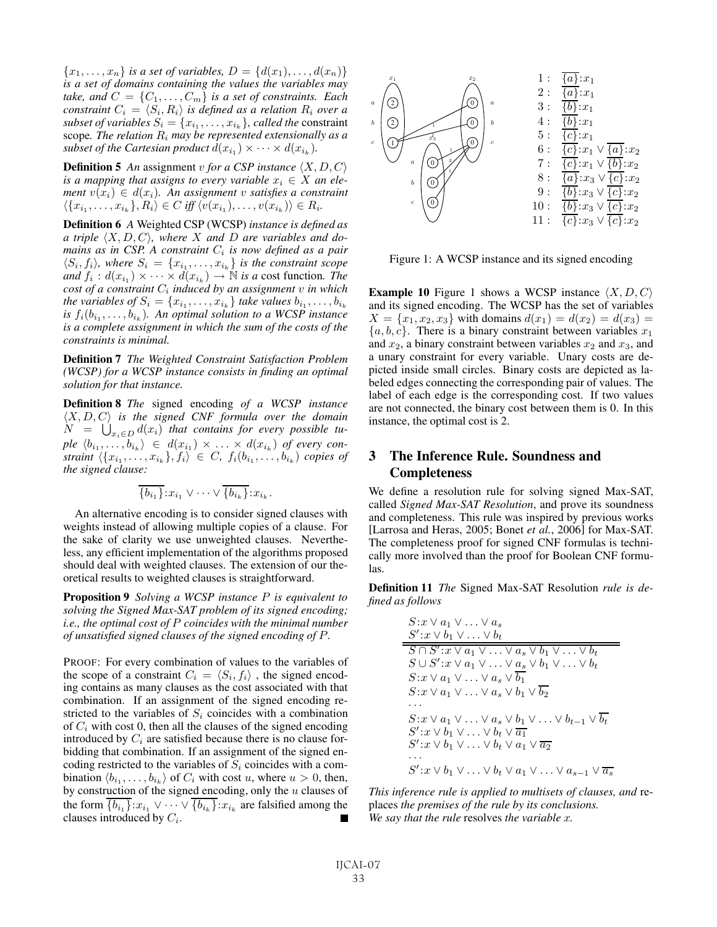${x_1, \ldots, x_n}$  *is a set of variables,*  $D = \{d(x_1), \ldots, d(x_n)\}$ *is a set of domains containing the values the variables may take, and*  $C = \{C_1, \ldots, C_m\}$  *is a set of constraints. Each constraint*  $C_i = \langle S_i, R_i \rangle$  *is defined as a relation*  $R_i$  *over a subset of variables*  $S_i = \{x_{i_1}, \ldots, x_{i_k}\}$ *, called the constraint* scope*. The relation* R<sup>i</sup> *may be represented extensionally as a subset of the Cartesian product*  $d(x_{i_1}) \times \cdots \times d(x_{i_k})$ *.* 

**Definition 5** An assignment v for a CSP instance  $\langle X, D, C \rangle$ *is a mapping that assigns to every variable*  $x_i \in X$  *an element*  $v(x_i) \in d(x_i)$ *. An assignment v satisfies a constraint*  $\langle \{x_{i_1},\ldots,x_{i_k}\}, R_i \rangle \in C$  *iff*  $\langle v(x_{i_1}),\ldots,v(x_{i_k}) \rangle \in R_i$ .

Definition 6 *A* Weighted CSP (WCSP) *instance is defined as a triple*  $\langle X, D, C \rangle$ , where X and D are variables and do*mains as in CSP. A constraint*  $C_i$  *is now defined as a pair*  $\langle S_i, f_i \rangle$ , where  $S_i = \{x_{i_1}, \ldots, x_{i_k}\}$  *is the constraint scope and*  $f_i$  :  $d(x_{i_1}) \times \cdots \times d(x_{i_k}) \rightarrow \mathbb{N}$  *is a* cost function. The *cost of a constraint* C<sup>i</sup> *induced by an assignment* v *in which the variables of*  $S_i = \{x_{i_1}, \ldots, x_{i_k}\}$  *take values*  $b_{i_1}, \ldots, b_{i_k}$ *is*  $f_i(b_{i_1}, \ldots, b_{i_k})$ *. An optimal solution to a WCSP instance is a complete assignment in which the sum of the costs of the constraints is minimal.*

Definition 7 *The Weighted Constraint Satisfaction Problem (WCSP) for a WCSP instance consists in finding an optimal solution for that instance.*

Definition 8 *The* signed encoding *of a WCSP instance*  $\langle X, D, C \rangle$  *is the signed CNF formula over the domain*  $N = \bigcup_{x_i \in D} d(x_i)$  *that contains for every possible tu* $ple \langle b_{i_1}, \ldots, b_{i_k} \rangle \in d(x_{i_1}) \times \ldots \times d(x_{i_k})$  of every con- $\text{strain} \left( \{x_{i_1}, \ldots, x_{i_k}\}, f_i \right) \in C, \ f_i(b_{i_1}, \ldots, b_{i_k}) \ \text{copies of}$ *the signed clause:*

$$
\overline{\{b_{i_1}\}}:x_{i_1}\vee\cdots\vee\overline{\{b_{i_k}\}}:x_{i_k}.
$$

An alternative encoding is to consider signed clauses with weights instead of allowing multiple copies of a clause. For the sake of clarity we use unweighted clauses. Nevertheless, any efficient implementation of the algorithms proposed should deal with weighted clauses. The extension of our theoretical results to weighted clauses is straightforward.

Proposition 9 *Solving a WCSP instance* P *is equivalent to solving the Signed Max-SAT problem of its signed encoding; i.e., the optimal cost of* P *coincides with the minimal number of unsatisfied signed clauses of the signed encoding of* P*.*

PROOF: For every combination of values to the variables of the scope of a constraint  $C_i = \langle S_i, f_i \rangle$ , the signed encoding contains as many clauses as the cost associated with that combination. If an assignment of the signed encoding restricted to the variables of  $S_i$  coincides with a combination of  $C_i$  with cost 0, then all the clauses of the signed encoding introduced by  $C_i$  are satisfied because there is no clause forbidding that combination. If an assignment of the signed encoding restricted to the variables of  $S_i$  coincides with a combination  $\langle b_{i_1}, \ldots, b_{i_k} \rangle$  of  $C_i$  with cost u, where  $u > 0$ , then, by construction of the signed encoding, only the  $u$  clauses of the form  $\overline{\{b_{i_1}\}}:x_{i_1}\vee\cdots\vee\overline{\{b_{i_k}\}}:x_{i_k}$  are falsified among the clauses introduced by  $C_i$ .



Figure 1: A WCSP instance and its signed encoding

**Example 10** Figure 1 shows a WCSP instance  $\langle X, D, C \rangle$ and its signed encoding. The WCSP has the set of variables  $X = \{x_1, x_2, x_3\}$  with domains  $d(x_1) = d(x_2) = d(x_3) =$  ${a, b, c}$ . There is a binary constraint between variables  $x_1$ and  $x_2$ , a binary constraint between variables  $x_2$  and  $x_3$ , and a unary constraint for every variable. Unary costs are depicted inside small circles. Binary costs are depicted as labeled edges connecting the corresponding pair of values. The label of each edge is the corresponding cost. If two values are not connected, the binary cost between them is 0. In this instance, the optimal cost is 2.

## 3 The Inference Rule. Soundness and Completeness

We define a resolution rule for solving signed Max-SAT, called *Signed Max-SAT Resolution*, and prove its soundness and completeness. This rule was inspired by previous works [Larrosa and Heras, 2005; Bonet *et al.*, 2006] for Max-SAT. The completeness proof for signed CNF formulas is technically more involved than the proof for Boolean CNF formulas.

Definition 11 *The* Signed Max-SAT Resolution *rule is defined as follows*

$$
S:x \vee a_1 \vee \ldots \vee a_s
$$
  
\n
$$
S':x \vee b_1 \vee \ldots \vee b_t
$$
  
\n
$$
S \cap S':x \vee a_1 \vee \ldots \vee a_s \vee b_1 \vee \ldots \vee b_t
$$
  
\n
$$
S \cup S':x \vee a_1 \vee \ldots \vee a_s \vee b_1 \vee \ldots \vee b_t
$$
  
\n
$$
S:x \vee a_1 \vee \ldots \vee a_s \vee b_1 \vee b_2
$$
  
\n
$$
\ldots
$$
  
\n
$$
S':x \vee a_1 \vee \ldots \vee a_s \vee b_1 \vee \ldots \vee b_{t-1} \vee b_t
$$
  
\n
$$
S':x \vee a_1 \vee \ldots \vee a_s \vee b_1 \vee \ldots \vee b_{t-1} \vee b_t
$$
  
\n
$$
S':x \vee b_1 \vee \ldots \vee b_t \vee a_1 \vee \overline{a_2}
$$
  
\n
$$
\ldots
$$
  
\n
$$
S':x \vee b_1 \vee \ldots \vee b_t \vee a_1 \vee \ldots \vee a_{s-1} \vee \overline{a_s}
$$

*This inference rule is applied to multisets of clauses, and* replaces *the premises of the rule by its conclusions. We say that the rule* resolves *the variable* x*.*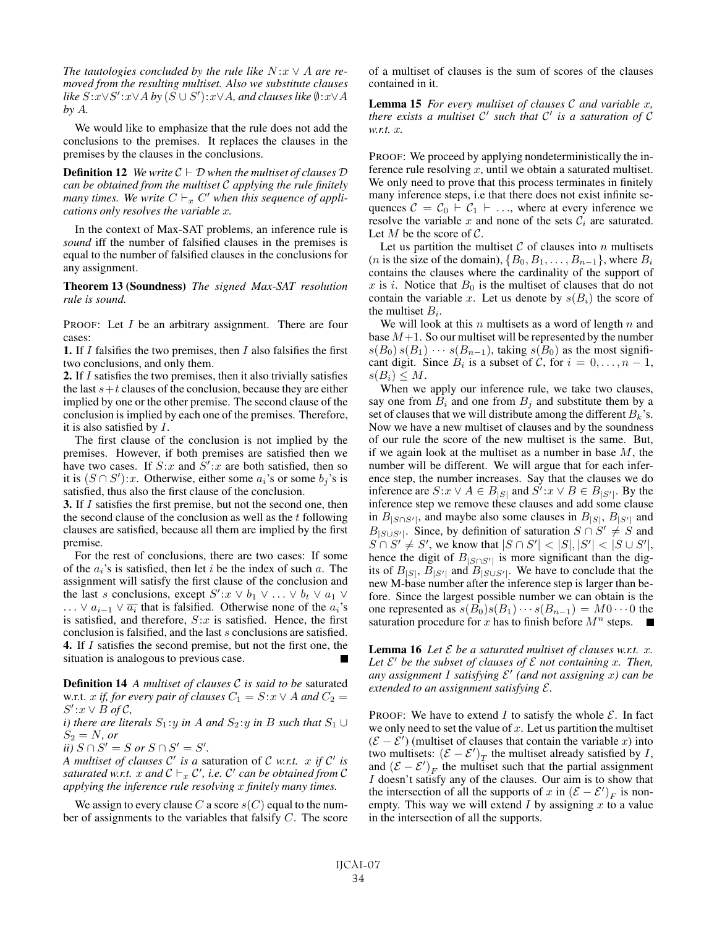*The tautologies concluded by the rule like*  $N: x \vee A$  *are removed from the resulting multiset. Also we substitute clauses like* S:x∨S :x∨A *by* (S ∪ S ):x∨A*, and clauses like* ∅:x∨A *by* A*.*

We would like to emphasize that the rule does not add the conclusions to the premises. It replaces the clauses in the premises by the clauses in the conclusions.

**Definition 12** *We write*  $C \vdash D$  *when the multiset of clauses*  $D$ *can be obtained from the multiset* C *applying the rule finitely many times. We write*  $C \vdash_x C'$  *when this sequence of applications only resolves the variable* x*.*

In the context of Max-SAT problems, an inference rule is *sound* iff the number of falsified clauses in the premises is equal to the number of falsified clauses in the conclusions for any assignment.

Theorem 13 (Soundness) *The signed Max-SAT resolution rule is sound.*

PROOF: Let I be an arbitrary assignment. There are four cases:

**1.** If  $I$  falsifies the two premises, then  $I$  also falsifies the first two conclusions, and only them.

2. If I satisfies the two premises, then it also trivially satisfies the last  $s+t$  clauses of the conclusion, because they are either implied by one or the other premise. The second clause of the conclusion is implied by each one of the premises. Therefore, it is also satisfied by I.

The first clause of the conclusion is not implied by the premises. However, if both premises are satisfied then we have two cases. If  $S: x$  and  $S': x$  are both satisfied, then so it is  $(S \cap S')$ :x. Otherwise, either some  $a_i$ 's or some  $b_j$ 's is satisfied, thus also the first clause of the conclusion.

3. If I satisfies the first premise, but not the second one, then the second clause of the conclusion as well as the  $t$  following clauses are satisfied, because all them are implied by the first premise.

For the rest of conclusions, there are two cases: If some of the  $a_i$ 's is satisfied, then let i be the index of such a. The assignment will satisfy the first clause of the conclusion and the last s conclusions, except  $S' : x \vee b_1 \vee \ldots \vee b_t \vee a_1 \vee$ ... ∨  $a_{i-1}$   $\vee$   $\overline{a_i}$  that is falsified. Otherwise none of the  $a_i$ 's is satisfied, and therefore,  $S: x$  is satisfied. Hence, the first conclusion is falsified, and the last s conclusions are satisfied. 4. If I satisfies the second premise, but not the first one, the situation is analogous to previous case.

Definition 14 *A multiset of clauses* C *is said to be* saturated w.r.t. x *if, for every pair of clauses*  $C_1 = S: x \vee A$  and  $C_2 =$  $S'$ : $x \vee B$  of C,

*i)* there are literals  $S_1: y$  *in* A and  $S_2: y$  *in* B such that  $S_1 \cup$  $S_2 = N$ , *or* 

 $\overline{ii}$ ,  $S \cap S' = S$  or  $S \cap S' = S'.$ 

*A multiset of clauses*  $C'$  *is a saturation of C w.r.t.* x *if*  $C'$  *is* saturated w.r.t.  $x$  and  $C \vdash_x C'$ , i.e.  $C'$  can be obtained from  $C$ *applying the inference rule resolving* x *finitely many times.*

We assign to every clause C a score  $s(C)$  equal to the number of assignments to the variables that falsify C. The score of a multiset of clauses is the sum of scores of the clauses contained in it.

Lemma 15 *For every multiset of clauses* C *and variable* x*, there exists a multiset* C' such that C' is a saturation of C *w.r.t.* x*.*

PROOF: We proceed by applying nondeterministically the inference rule resolving  $x$ , until we obtain a saturated multiset. We only need to prove that this process terminates in finitely many inference steps, i.e that there does not exist infinite sequences  $C = C_0 \vdash C_1 \vdash \dots$ , where at every inference we resolve the variable x and none of the sets  $\mathcal{C}_i$  are saturated. Let M be the score of  $\mathcal{C}$ .

Let us partition the multiset  $C$  of clauses into n multisets (*n* is the size of the domain),  $\{B_0, B_1, \ldots, B_{n-1}\}$ , where  $B_i$ contains the clauses where the cardinality of the support of x is i. Notice that  $B_0$  is the multiset of clauses that do not contain the variable x. Let us denote by  $s(B_i)$  the score of the multiset  $B_i$ .

We will look at this  $n$  multisets as a word of length  $n$  and base  $M+1$ . So our multiset will be represented by the number  $s(B_0) s(B_1) \cdots s(B_{n-1})$ , taking  $s(B_0)$  as the most significant digit. Since  $B_i$  is a subset of C, for  $i = 0, \ldots, n - 1$ ,  $s(B_i) \leq M$ .

When we apply our inference rule, we take two clauses, say one from  $B_i$  and one from  $B_j$  and substitute them by a set of clauses that we will distribute among the different  $B_k$ 's. Now we have a new multiset of clauses and by the soundness of our rule the score of the new multiset is the same. But, if we again look at the multiset as a number in base  $M$ , the number will be different. We will argue that for each inference step, the number increases. Say that the clauses we do inference are  $S: x \vee A \in B_{|S|}$  and  $S' : x \vee B \in B_{|S'|}$ . By the inference step we remove these clauses and add some clause in  $B_{|S \cap S'|}$ , and maybe also some clauses in  $B_{|S|}$ ,  $B_{|S'|}$  and  $B_{|S\cup S'|}$ . Since, by definition of saturation  $S \cap S' \neq S$  and  $S \cap S' \neq S'$ , we know that  $|S \cap S'| < |S|, |S'| < |S \cup S'|$ , hence the digit of  $B_{|S \cap S'|}$  is more significant than the digits of  $B_{|S|}$ ,  $\overline{B}_{|S'|}$  and  $\overline{B}_{|S \cup S'|}$ . We have to conclude that the new M-base number after the inference step is larger than before. Since the largest possible number we can obtain is the one represented as  $s(B_0)s(B_1)\cdots s(B_{n-1}) = M0 \cdots 0$  the saturation procedure for x has to finish before  $M^n$  steps.

**Lemma 16** Let  $\mathcal E$  be a saturated multiset of clauses w.r.t.  $x$ . Let  $\mathcal{E}'$  be the subset of clauses of  $\mathcal E$  *not containing* x. Then, *any assignment* I *satisfying*  $\mathcal{E}'$  *(and not assigning x) can be extended to an assignment satisfying* E*.*

PROOF: We have to extend I to satisfy the whole  $\mathcal{E}$ . In fact we only need to set the value of  $x$ . Let us partition the multiset  $(\mathcal{E} - \mathcal{E}')$  (multiset of clauses that contain the variable x) into two multisets:  $(\mathcal{E} - \mathcal{E}')_T$  the multiset already satisfied by *I*, and  $(\mathcal{E} - \mathcal{E}')_F$  the multiset such that the partial assignment I doesn't satisfy any of the clauses. Our aim is to show that the intersection of all the supports of x in  $(\mathcal{E} - \mathcal{E}')_F$  is nonempty. This way we will extend  $I$  by assigning  $x$  to a value in the intersection of all the supports.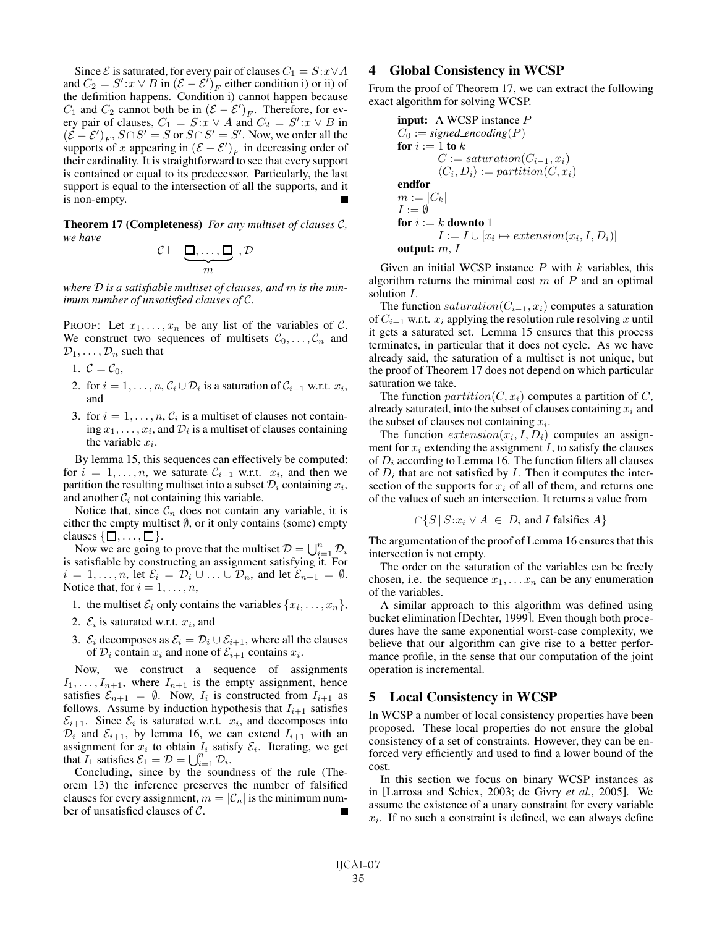Since  $\mathcal E$  is saturated, for every pair of clauses  $C_1 = S:x\vee A$ and  $C_2 = S' : x \vee B$  in  $(\mathcal{E} - \mathcal{E}')_F$  either condition i) or ii) of the definition happens. Condition i) cannot happen because  $C_1$  and  $C_2$  cannot both be in  $(\mathcal{E} - \mathcal{E}')_F$ . Therefore, for every pair of clauses,  $C_1 = S: x \vee A$  and  $C_2 = S': x \vee B$  in  $(\mathcal{E} - \mathcal{E}')_F$ ,  $S \cap S' = S$  or  $S \cap S' = S'$ . Now, we order all the supports of x appearing in  $(\mathcal{E} - \mathcal{E}')_F$  in decreasing order of their cardinality. It is straightforward to see that every support is contained or equal to its predecessor. Particularly, the last support is equal to the intersection of all the supports, and it is non-empty.

Theorem 17 (Completeness) *For any multiset of clauses* C*, we have*

$$
\mathcal{C} \vdash \underbrace{\Box, \dots, \Box}_{m}, \mathcal{D}
$$

*where* D *is a satisfiable multiset of clauses, and* m *is the minimum number of unsatisfied clauses of* C*.*

PROOF: Let  $x_1, \ldots, x_n$  be any list of the variables of C. We construct two sequences of multisets  $C_0, \ldots, C_n$  and  $\mathcal{D}_1,\ldots,\mathcal{D}_n$  such that

- 1.  $\mathcal{C} = \mathcal{C}_0$ ,
- 2. for  $i = 1, \ldots, n$ ,  $C_i \cup D_i$  is a saturation of  $C_{i-1}$  w.r.t.  $x_i$ , and
- 3. for  $i = 1, \ldots, n$ ,  $C_i$  is a multiset of clauses not containing  $x_1, \ldots, x_i$ , and  $\mathcal{D}_i$  is a multiset of clauses containing the variable  $x_i$ .

By lemma 15, this sequences can effectively be computed: for  $i = 1, \ldots, n$ , we saturate  $C_{i-1}$  w.r.t.  $x_i$ , and then we partition the resulting multiset into a subset  $\mathcal{D}_i$  containing  $x_i$ , and another  $C_i$  not containing this variable.

Notice that, since  $\mathcal{C}_n$  does not contain any variable, it is either the empty multiset  $\emptyset$ , or it only contains (some) empty clauses  $\{\Box, \ldots, \Box\}.$ 

Now we are going to prove that the multiset  $\mathcal{D} = \bigcup_{i=1}^n \mathcal{D}_i$ is satisfiable by constructing an assignment satisfying it. For  $i = 1, \ldots, n$ , let  $\mathcal{E}_i = \mathcal{D}_i \cup \ldots \cup \mathcal{D}_n$ , and let  $\mathcal{E}_{n+1} = \emptyset$ . Notice that, for  $i = 1, \ldots, n$ ,

- 1. the multiset  $\mathcal{E}_i$  only contains the variables  $\{x_i, \ldots, x_n\},$
- 2.  $\mathcal{E}_i$  is saturated w.r.t.  $x_i$ , and
- 3.  $\mathcal{E}_i$  decomposes as  $\mathcal{E}_i = \mathcal{D}_i \cup \mathcal{E}_{i+1}$ , where all the clauses of  $\mathcal{D}_i$  contain  $x_i$  and none of  $\mathcal{E}_{i+1}$  contains  $x_i$ .

Now, we construct a sequence of assignments  $I_1, \ldots, I_{n+1}$ , where  $I_{n+1}$  is the empty assignment, hence satisfies  $\mathcal{E}_{n+1} = \emptyset$ . Now,  $I_i$  is constructed from  $I_{i+1}$  as follows. Assume by induction hypothesis that  $I_{i+1}$  satisfies  $\mathcal{E}_{i+1}$ . Since  $\mathcal{E}_i$  is saturated w.r.t.  $x_i$ , and decomposes into  $\mathcal{D}_i$  and  $\mathcal{E}_{i+1}$ , by lemma 16, we can extend  $I_{i+1}$  with an assignment for  $x_i$  to obtain  $I_i$  satisfy  $\mathcal{E}_i$ . Iterating, we get that  $I_1$  satisfies  $\mathcal{E}_1 = \mathcal{D} = \bigcup_{i=1}^n \mathcal{D}_i$ .

Concluding, since by the soundness of the rule (Theorem 13) the inference preserves the number of falsified clauses for every assignment,  $m = |\mathcal{C}_n|$  is the minimum number of unsatisfied clauses of C.

### 4 Global Consistency in WCSP

From the proof of Theorem 17, we can extract the following exact algorithm for solving WCSP.

input: A WCSP instance P C<sup>0</sup> := *signed encoding*(P) for i := 1 to k C := saturation(C<sup>i</sup>−1, xi) Ci, Di := partition(C, xi) endfor m := |Ck| I := ∅ for i := k downto 1 I := I ∪ [x<sup>i</sup> → extension(xi,I,Di)] output: m, I

Given an initial WCSP instance  $P$  with  $k$  variables, this algorithm returns the minimal cost  $m$  of  $P$  and an optimal solution I.

The function saturation( $C_{i-1}, x_i$ ) computes a saturation of  $C_{i-1}$  w.r.t.  $x_i$  applying the resolution rule resolving x until it gets a saturated set. Lemma 15 ensures that this process terminates, in particular that it does not cycle. As we have already said, the saturation of a multiset is not unique, but the proof of Theorem 17 does not depend on which particular saturation we take.

The function  $partition(C, x_i)$  computes a partition of C, already saturated, into the subset of clauses containing  $x_i$  and the subset of clauses not containing  $x_i$ .

The function  $extension(x_i, I, D_i)$  computes an assignment for  $x_i$  extending the assignment I, to satisfy the clauses of  $D_i$  according to Lemma 16. The function filters all clauses of  $D_i$  that are not satisfied by I. Then it computes the intersection of the supports for  $x_i$  of all of them, and returns one of the values of such an intersection. It returns a value from

$$
\bigcap \{ S \, | \, S:x_i \vee A \in D_i \text{ and } I \text{ falsifies } A \}
$$

The argumentation of the proof of Lemma 16 ensures that this intersection is not empty.

The order on the saturation of the variables can be freely chosen, i.e. the sequence  $x_1, \ldots x_n$  can be any enumeration of the variables.

A similar approach to this algorithm was defined using bucket elimination [Dechter, 1999]. Even though both procedures have the same exponential worst-case complexity, we believe that our algorithm can give rise to a better performance profile, in the sense that our computation of the joint operation is incremental.

#### 5 Local Consistency in WCSP

In WCSP a number of local consistency properties have been proposed. These local properties do not ensure the global consistency of a set of constraints. However, they can be enforced very efficiently and used to find a lower bound of the cost.

In this section we focus on binary WCSP instances as in [Larrosa and Schiex, 2003; de Givry *et al.*, 2005]. We assume the existence of a unary constraint for every variable  $x_i$ . If no such a constraint is defined, we can always define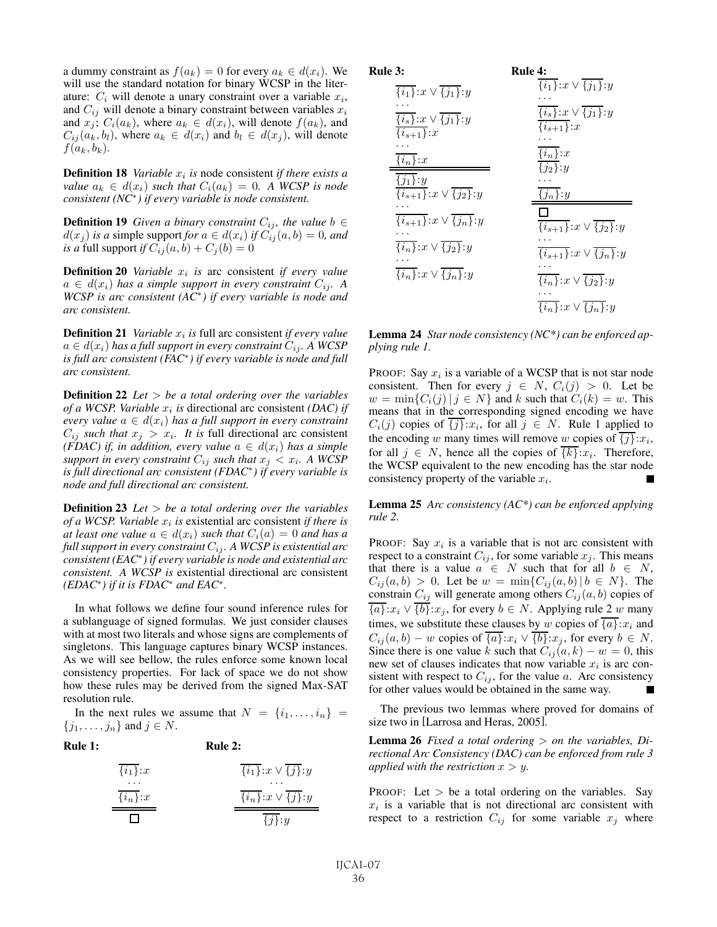a dummy constraint as  $f(a_k)=0$  for every  $a_k \in d(x_i)$ . We will use the standard notation for binary WCSP in the literature:  $C_i$  will denote a unary constraint over a variable  $x_i$ , and  $C_{ij}$  will denote a binary constraint between variables  $x_i$ and  $x_j$ ;  $C_i(a_k)$ , where  $a_k \in d(x_i)$ , will denote  $f(a_k)$ , and  $C_{ij}(a_k, b_l)$ , where  $a_k \in d(x_i)$  and  $b_l \in d(x_j)$ , will denote  $f(a_k, b_k)$ .

**Definition 18** *Variable*  $x_i$  *is* node consistent *if there exists a value*  $a_k \in d(x_i)$  *such that*  $C_i(a_k)=0$ *. A WCSP is node consistent (NC*<sup>∗</sup>*) if every variable is node consistent.*

**Definition 19** *Given a binary constraint*  $C_{ij}$ *, the value*  $b \in$  $d(x_j)$  *is a* simple support *for*  $a \in d(x_i)$  *if*  $C_{ij}(a, b) = 0$ *, and is a* full support *if*  $C_{ij}(a, b) + C_j(b) = 0$ 

**Definition 20** *Variable*  $x_i$  *is* arc consistent *if every value*  $a \in d(x_i)$  has a simple support in every constraint  $C_{ij}$ . A *WCSP is arc consistent (AC*<sup>∗</sup>*) if every variable is node and arc consistent.*

**Definition 21** *Variable*  $x_i$  *is* full arc consistent *if every value*  $a \in d(x_i)$  has a full support in every constraint  $C_{ij}$ . A WCSP *is full arc consistent (FAC*<sup>∗</sup>*) if every variable is node and full arc consistent.*

Definition 22 *Let* > *be a total ordering over the variables of a WCSP. Variable*  $x_i$  *is* directional arc consistent *(DAC) if every value*  $a \in d(x_i)$  *has a full support in every constraint*  $C_{ij}$  *such that*  $x_j > x_i$ *. It is full directional arc consistent (FDAC) if, in addition, every value*  $a \in d(x_i)$  *has a simple support in every constraint*  $C_{ij}$  *such that*  $x_i < x_i$ . A WCSP *is full directional arc consistent (FDAC*<sup>∗</sup>*) if every variable is node and full directional arc consistent.*

Definition 23 *Let* > *be a total ordering over the variables of a WCSP. Variable*  $x_i$  *is* existential arc consistent *if there is at least one value*  $a \in d(x_i)$  *such that*  $C_i(a) = 0$  *and has a full support in every constraint*  $C_{ij}$ *. A WCSP is existential arc consistent (EAC*<sup>∗</sup>*) if every variable is node and existential arc consistent. A WCSP is* existential directional arc consistent *(EDAC*<sup>∗</sup>*) if it is FDAC*<sup>∗</sup> *and EAC*<sup>∗</sup>*.*

In what follows we define four sound inference rules for a sublanguage of signed formulas. We just consider clauses with at most two literals and whose signs are complements of singletons. This language captures binary WCSP instances. As we will see bellow, the rules enforce some known local consistency properties. For lack of space we do not show how these rules may be derived from the signed Max-SAT resolution rule.

In the next rules we assume that  $N = \{i_1, \ldots, i_n\}$  $\{j_1,\ldots,j_n\}$  and  $j \in N$ .

#### Rule 1:

#### Rule 2:

| $\{i_1\}$ : $x$ | $\{i_1\}$ : $x \vee \{j\}$ : $y$ |
|-----------------|----------------------------------|
| $\{i_n\}$ : $x$ | .<br>$\{i_n\}:x\vee\{j\}:y$      |
| ' '             | $\{j\}$ : $y$                    |

| lle 3:                                              | Rule 4:                                             |
|-----------------------------------------------------|-----------------------------------------------------|
| $\overline{\{i_1\}}:x\vee \overline{\{j_1\}}:y$     | ${i_1}:x\vee {j_1}:y$                               |
| $\overline{\{i_s\}}:x\vee \overline{\{j_1\}}:y$     | $\overline{\{i_s\}}:x\vee\{j_1\}:y$                 |
| $\overline{\{i_{s+1}\}}:x$                          | $\overline{\{i_{s+1}\}}$ : x                        |
| $\overline{\{i_n\}}$ : x                            | $\overline{\{i_n\}}:x$                              |
| $\overline{\{j_1\}}$ : y                            | $\overline{\{j_2\}}$ : y                            |
| $\overline{\{i_{s+1}\}}:x\vee \overline{\{j_2\}}:y$ | $\{j_n\}$ :y                                        |
| $\overline{\{i_{s+1}\}}:x\vee \overline{\{j_n\}}:y$ | $\overline{\{i_{s+1}\}}:x\vee \overline{\{j_2\}}:y$ |
| $\overline{\{i_n\}}:x\vee \overline{\{j_2\}}:y$     | $\overline{\{i_{s+1}\}}:x\vee \overline{\{j_n\}}:y$ |
| $\overline{\{i_n\}}:x\vee \overline{\{j_n\}}:y$     | $\overline{\{i_n\}}:x\vee \overline{\{j_2\}}:y$     |
|                                                     | $\overline{\{i_n\}}:x\vee\overline{\{j_n\}}:y$      |

 $R_{\rm II}$ 

Lemma 24 *Star node consistency (NC\*) can be enforced applying rule 1.*

PROOF: Say  $x_i$  is a variable of a WCSP that is not star node consistent. Then for every  $j \in N$ ,  $C_i(j) > 0$ . Let be  $w = \min\{C_i(j) | j \in N\}$  and k such that  $C_i(k) = w$ . This means that in the corresponding signed encoding we have  $C_i(j)$  copies of  $\overline{\{j\}}:x_i$ , for all  $j \in N$ . Rule 1 applied to the encoding w many times will remove w copies of  $\overline{\{j\}}:x_i$ , for all  $j \in N$ , hence all the copies of  $\overline{\{k\}}:x_i$ . Therefore, the WCSP equivalent to the new encoding has the star node consistency property of the variable  $x_i$ .

Lemma 25 *Arc consistency (AC\*) can be enforced applying rule 2.*

PROOF: Say  $x_i$  is a variable that is not arc consistent with respect to a constraint  $C_{ij}$ , for some variable  $x_j$ . This means that there is a value  $a \in N$  such that for all  $b \in N$ ,  $C_{ij}(a, b) > 0$ . Let be  $w = \min\{C_{ij}(a, b) | b \in N\}$ . The constrain  $C_{ij}$  will generate among others  $C_{ij}(a, b)$  copies of  ${\overline{\{a\}}:x_i \vee {\overline{\{b\}}}:x_j}$ , for every  $b \in N$ . Applying rule 2 w many times, we substitute these clauses by w copies of  $\overline{\{a\}}:x_i$  and  $C_{ij}(a, b) - w$  copies of  $\overline{\{a\}}:x_i \vee \overline{\{b\}}:x_j$ , for every  $b \in N$ . Since there is one value k such that  $C_{ij}(a, k) - w = 0$ , this new set of clauses indicates that now variable  $x_i$  is arc consistent with respect to  $C_{ij}$ , for the value a. Arc consistency for other values would be obtained in the same way.

The previous two lemmas where proved for domains of size two in [Larrosa and Heras, 2005].

Lemma 26 *Fixed a total ordering* > *on the variables, Directional Arc Consistency (DAC) can be enforced from rule 3 applied with the restriction*  $x > y$ *.* 

PROOF: Let  $>$  be a total ordering on the variables. Say  $x_i$  is a variable that is not directional arc consistent with respect to a restriction  $C_{ij}$  for some variable  $x_j$  where